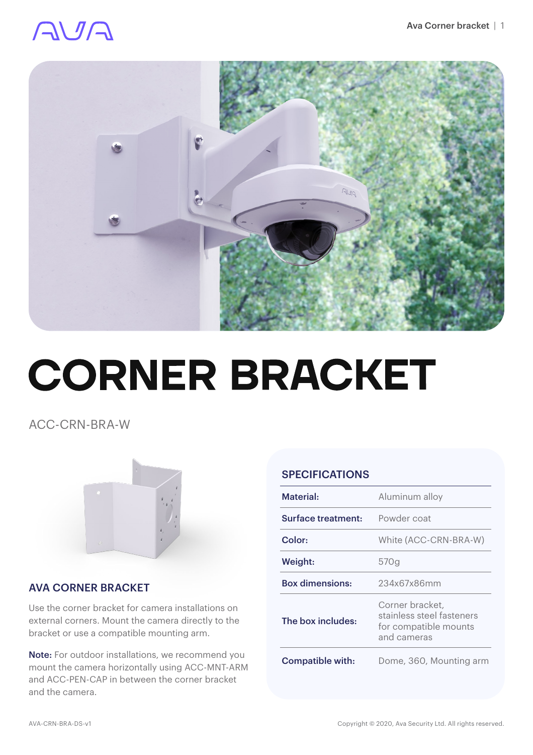### AVA



# **CORNER BRACKET**

ACC-CRN-BRA-W



#### AVA CORNER BRACKET

Use the corner bracket for camera installations on external corners. Mount the camera directly to the bracket or use a compatible mounting arm.

Note: For outdoor installations, we recommend you mount the camera horizontally using ACC-MNT-ARM and ACC-PEN-CAP in between the corner bracket and the camera.

#### SPECIFICATIONS

| Material:              | Aluminum alloy                                                                       |
|------------------------|--------------------------------------------------------------------------------------|
| Surface treatment:     | Powder coat                                                                          |
| Color:                 | White (ACC-CRN-BRA-W)                                                                |
| Weight:                | 570g                                                                                 |
| <b>Box dimensions:</b> | 234x67x86mm                                                                          |
| The box includes:      | Corner bracket,<br>stainless steel fasteners<br>for compatible mounts<br>and cameras |
| Compatible with:       | Dome, 360, Mounting arm                                                              |